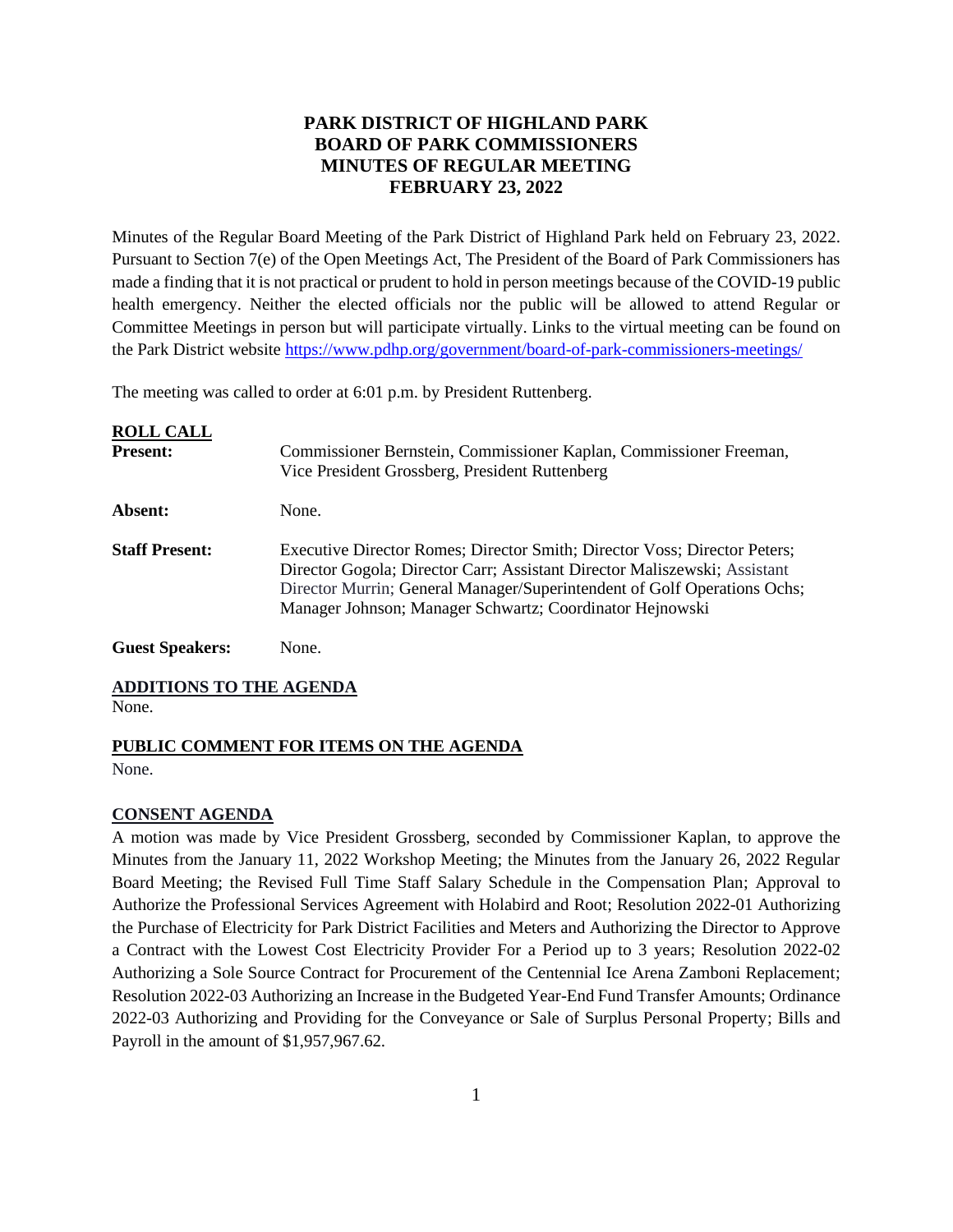## **PARK DISTRICT OF HIGHLAND PARK BOARD OF PARK COMMISSIONERS MINUTES OF REGULAR MEETING FEBRUARY 23, 2022**

Minutes of the Regular Board Meeting of the Park District of Highland Park held on February 23, 2022. Pursuant to Section 7(e) of the Open Meetings Act, The President of the Board of Park Commissioners has made a finding that it is not practical or prudent to hold in person meetings because of the COVID-19 public health emergency. Neither the elected officials nor the public will be allowed to attend Regular or Committee Meetings in person but will participate virtually. Links to the virtual meeting can be found on the Park District website<https://www.pdhp.org/government/board-of-park-commissioners-meetings/>

The meeting was called to order at 6:01 p.m. by President Ruttenberg.

| <b>ROLL CALL</b><br><b>Present:</b> | Commissioner Bernstein, Commissioner Kaplan, Commissioner Freeman,<br>Vice President Grossberg, President Ruttenberg                                                                                                                                                                           |
|-------------------------------------|------------------------------------------------------------------------------------------------------------------------------------------------------------------------------------------------------------------------------------------------------------------------------------------------|
| Absent:                             | None.                                                                                                                                                                                                                                                                                          |
| <b>Staff Present:</b>               | Executive Director Romes; Director Smith; Director Voss; Director Peters;<br>Director Gogola; Director Carr; Assistant Director Maliszewski; Assistant<br>Director Murrin; General Manager/Superintendent of Golf Operations Ochs;<br>Manager Johnson; Manager Schwartz; Coordinator Hejnowski |
| <b>Guest Speakers:</b>              | None.                                                                                                                                                                                                                                                                                          |

#### **ADDITIONS TO THE AGENDA**

None.

## **PUBLIC COMMENT FOR ITEMS ON THE AGENDA**

None.

#### **CONSENT AGENDA**

A motion was made by Vice President Grossberg, seconded by Commissioner Kaplan, to approve the Minutes from the January 11, 2022 Workshop Meeting; the Minutes from the January 26, 2022 Regular Board Meeting; the Revised Full Time Staff Salary Schedule in the Compensation Plan; Approval to Authorize the Professional Services Agreement with Holabird and Root; Resolution 2022-01 Authorizing the Purchase of Electricity for Park District Facilities and Meters and Authorizing the Director to Approve a Contract with the Lowest Cost Electricity Provider For a Period up to 3 years; Resolution 2022-02 Authorizing a Sole Source Contract for Procurement of the Centennial Ice Arena Zamboni Replacement; Resolution 2022-03 Authorizing an Increase in the Budgeted Year-End Fund Transfer Amounts; Ordinance 2022-03 Authorizing and Providing for the Conveyance or Sale of Surplus Personal Property; Bills and Payroll in the amount of \$1,957,967.62.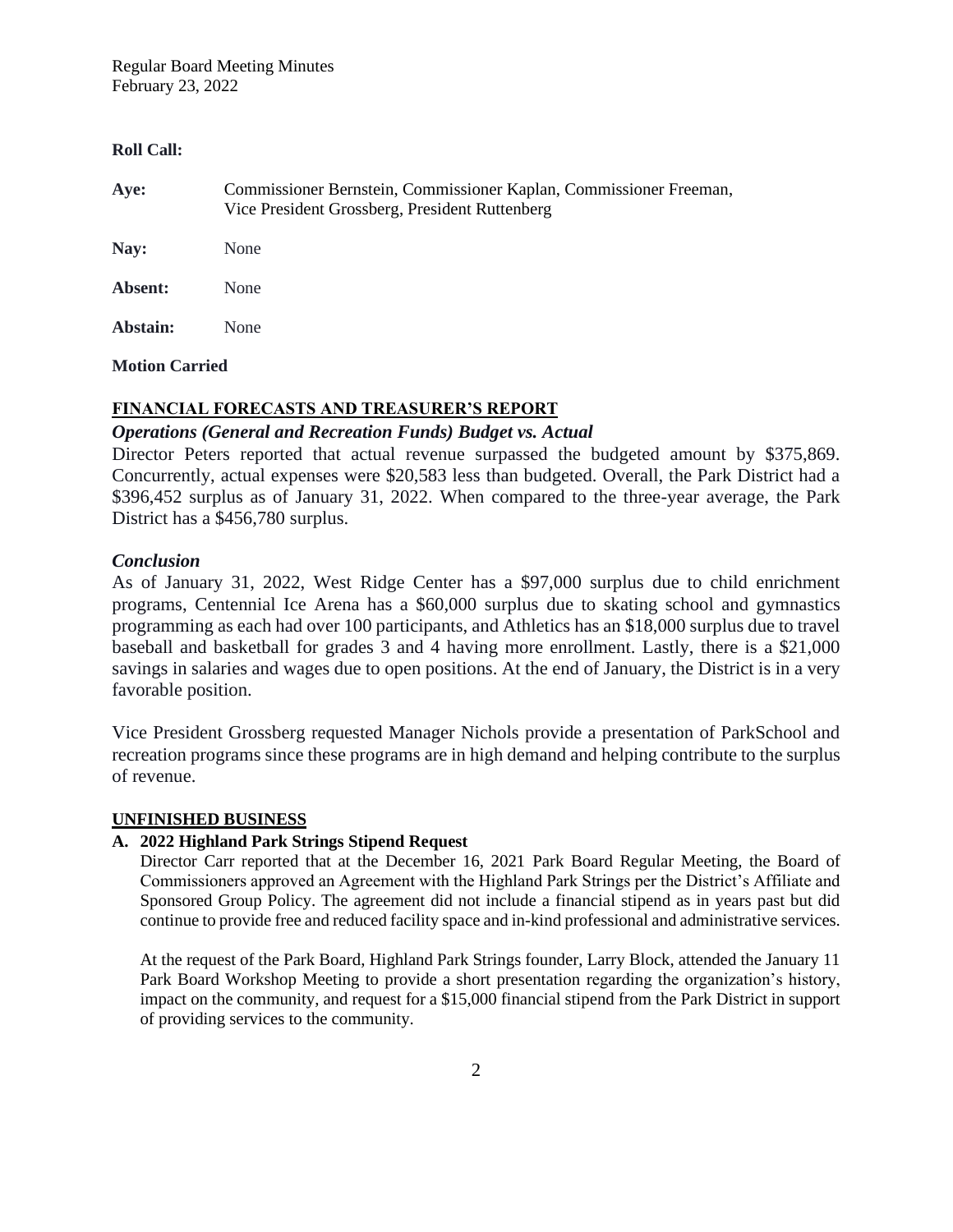#### **Roll Call:**

| Commissioner Bernstein, Commissioner Kaplan, Commissioner Freeman, |
|--------------------------------------------------------------------|
|                                                                    |
|                                                                    |
|                                                                    |
|                                                                    |

#### **Motion Carried**

## **FINANCIAL FORECASTS AND TREASURER'S REPORT**

## *Operations (General and Recreation Funds) Budget vs. Actual*

Director Peters reported that actual revenue surpassed the budgeted amount by \$375,869. Concurrently, actual expenses were \$20,583 less than budgeted. Overall, the Park District had a \$396,452 surplus as of January 31, 2022. When compared to the three-year average, the Park District has a \$456,780 surplus.

## *Conclusion*

As of January 31, 2022, West Ridge Center has a \$97,000 surplus due to child enrichment programs, Centennial Ice Arena has a \$60,000 surplus due to skating school and gymnastics programming as each had over 100 participants, and Athletics has an \$18,000 surplus due to travel baseball and basketball for grades 3 and 4 having more enrollment. Lastly, there is a \$21,000 savings in salaries and wages due to open positions. At the end of January, the District is in a very favorable position.

Vice President Grossberg requested Manager Nichols provide a presentation of ParkSchool and recreation programs since these programs are in high demand and helping contribute to the surplus of revenue.

#### **UNFINISHED BUSINESS**

#### **A. 2022 Highland Park Strings Stipend Request**

Director Carr reported that at the December 16, 2021 Park Board Regular Meeting, the Board of Commissioners approved an Agreement with the Highland Park Strings per the District's Affiliate and Sponsored Group Policy. The agreement did not include a financial stipend as in years past but did continue to provide free and reduced facility space and in-kind professional and administrative services.

At the request of the Park Board, Highland Park Strings founder, Larry Block, attended the January 11 Park Board Workshop Meeting to provide a short presentation regarding the organization's history, impact on the community, and request for a \$15,000 financial stipend from the Park District in support of providing services to the community.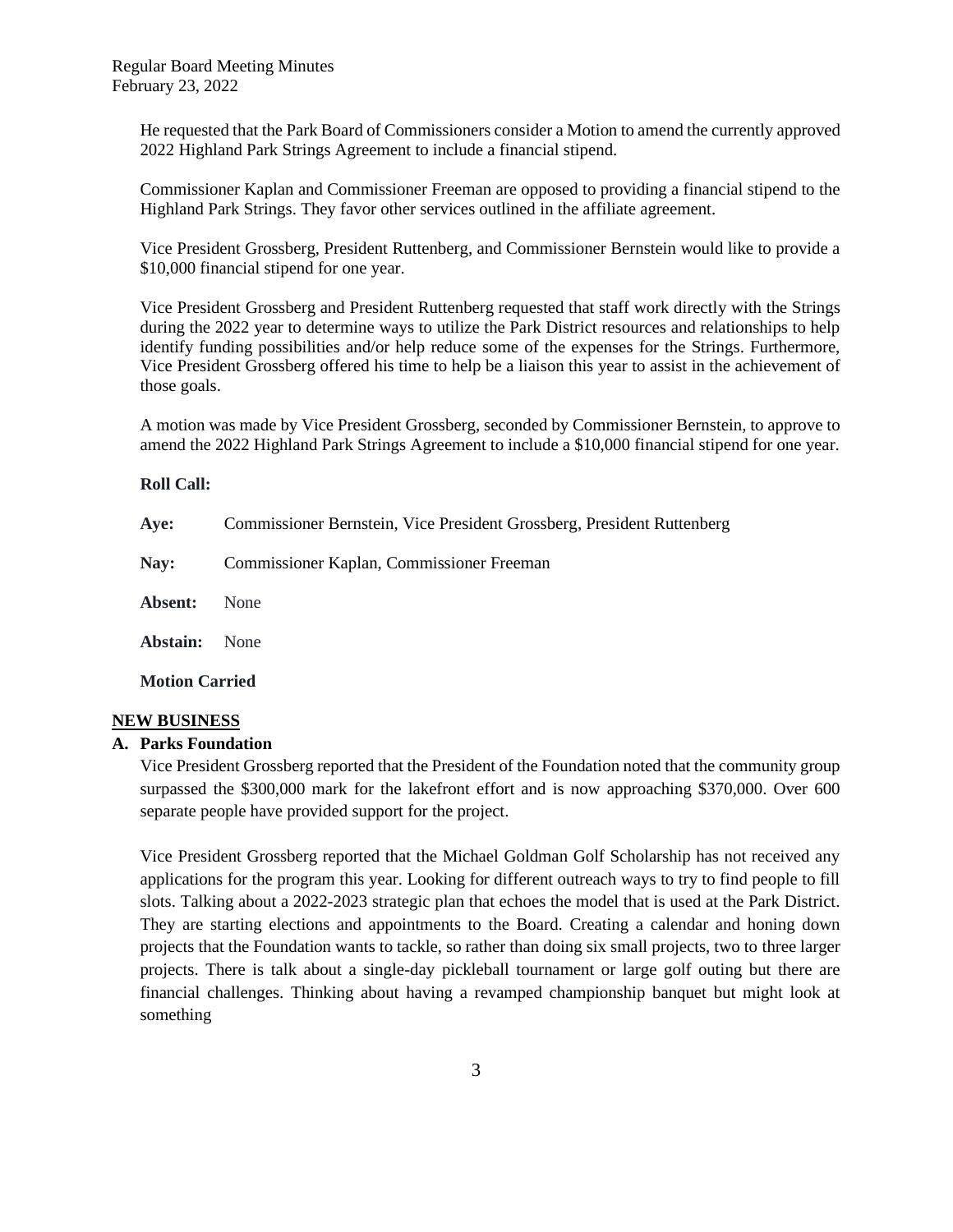He requested that the Park Board of Commissioners consider a Motion to amend the currently approved 2022 Highland Park Strings Agreement to include a financial stipend.

Commissioner Kaplan and Commissioner Freeman are opposed to providing a financial stipend to the Highland Park Strings. They favor other services outlined in the affiliate agreement.

Vice President Grossberg, President Ruttenberg, and Commissioner Bernstein would like to provide a \$10,000 financial stipend for one year.

Vice President Grossberg and President Ruttenberg requested that staff work directly with the Strings during the 2022 year to determine ways to utilize the Park District resources and relationships to help identify funding possibilities and/or help reduce some of the expenses for the Strings. Furthermore, Vice President Grossberg offered his time to help be a liaison this year to assist in the achievement of those goals.

A motion was made by Vice President Grossberg, seconded by Commissioner Bernstein, to approve to amend the 2022 Highland Park Strings Agreement to include a \$10,000 financial stipend for one year.

#### **Roll Call:**

| Aye:                  | Commissioner Bernstein, Vice President Grossberg, President Ruttenberg |  |
|-----------------------|------------------------------------------------------------------------|--|
| Nay:                  | Commissioner Kaplan, Commissioner Freeman                              |  |
| Absent:               | None                                                                   |  |
| Abstain:              | None                                                                   |  |
| <b>Motion Carried</b> |                                                                        |  |

## **NEW BUSINESS**

#### **A. Parks Foundation**

Vice President Grossberg reported that the President of the Foundation noted that the community group surpassed the \$300,000 mark for the lakefront effort and is now approaching \$370,000. Over 600 separate people have provided support for the project.

Vice President Grossberg reported that the Michael Goldman Golf Scholarship has not received any applications for the program this year. Looking for different outreach ways to try to find people to fill slots. Talking about a 2022-2023 strategic plan that echoes the model that is used at the Park District. They are starting elections and appointments to the Board. Creating a calendar and honing down projects that the Foundation wants to tackle, so rather than doing six small projects, two to three larger projects. There is talk about a single-day pickleball tournament or large golf outing but there are financial challenges. Thinking about having a revamped championship banquet but might look at something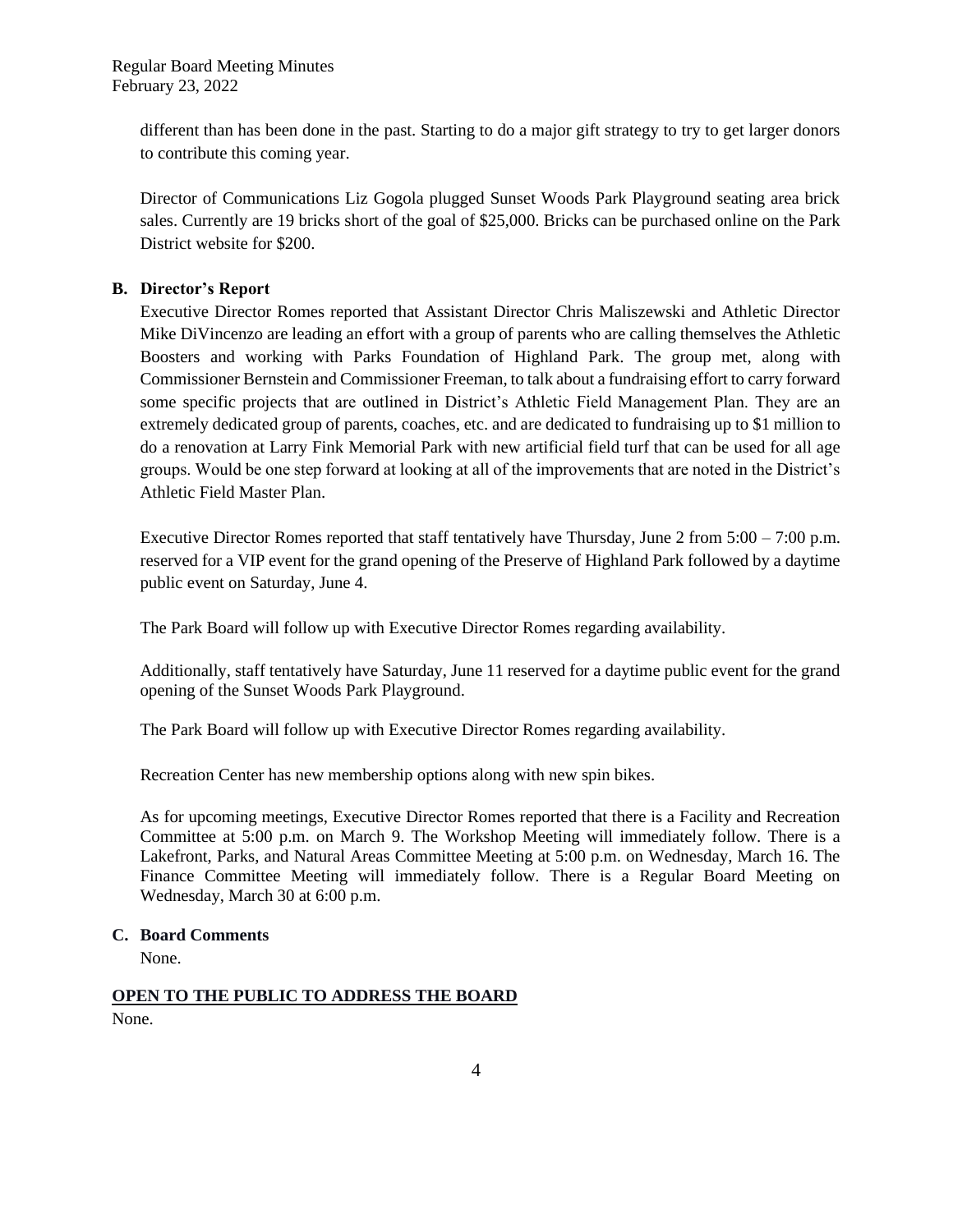different than has been done in the past. Starting to do a major gift strategy to try to get larger donors to contribute this coming year.

Director of Communications Liz Gogola plugged Sunset Woods Park Playground seating area brick sales. Currently are 19 bricks short of the goal of \$25,000. Bricks can be purchased online on the Park District website for \$200.

## **B. Director's Report**

Executive Director Romes reported that Assistant Director Chris Maliszewski and Athletic Director Mike DiVincenzo are leading an effort with a group of parents who are calling themselves the Athletic Boosters and working with Parks Foundation of Highland Park. The group met, along with Commissioner Bernstein and Commissioner Freeman, to talk about a fundraising effort to carry forward some specific projects that are outlined in District's Athletic Field Management Plan. They are an extremely dedicated group of parents, coaches, etc. and are dedicated to fundraising up to \$1 million to do a renovation at Larry Fink Memorial Park with new artificial field turf that can be used for all age groups. Would be one step forward at looking at all of the improvements that are noted in the District's Athletic Field Master Plan.

Executive Director Romes reported that staff tentatively have Thursday, June 2 from 5:00 – 7:00 p.m. reserved for a VIP event for the grand opening of the Preserve of Highland Park followed by a daytime public event on Saturday, June 4.

The Park Board will follow up with Executive Director Romes regarding availability.

Additionally, staff tentatively have Saturday, June 11 reserved for a daytime public event for the grand opening of the Sunset Woods Park Playground.

The Park Board will follow up with Executive Director Romes regarding availability.

Recreation Center has new membership options along with new spin bikes.

As for upcoming meetings, Executive Director Romes reported that there is a Facility and Recreation Committee at 5:00 p.m. on March 9. The Workshop Meeting will immediately follow. There is a Lakefront, Parks, and Natural Areas Committee Meeting at 5:00 p.m. on Wednesday, March 16. The Finance Committee Meeting will immediately follow. There is a Regular Board Meeting on Wednesday, March 30 at 6:00 p.m.

## **C. Board Comments**

None.

# **OPEN TO THE PUBLIC TO ADDRESS THE BOARD**

None.